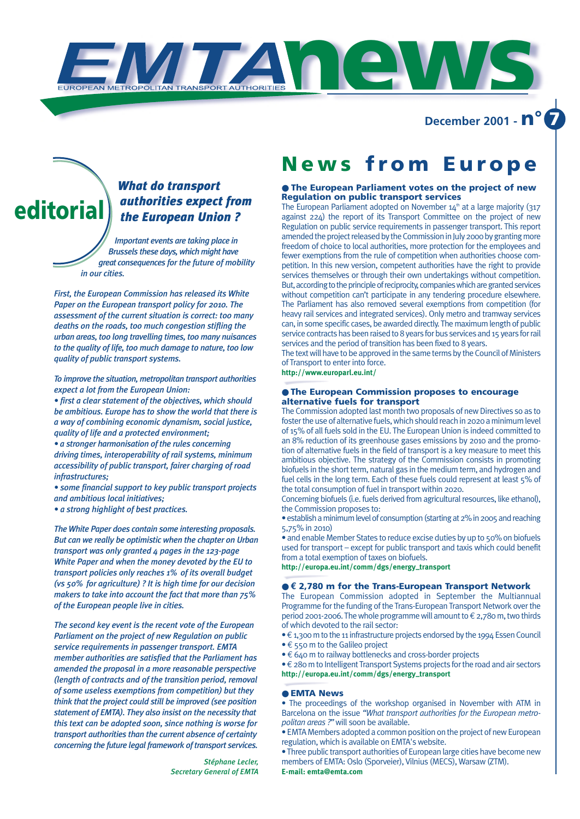**December 2001 - n° 7**

## *What do transport authorities expect from the European Union ?*

*Important events are taking place in Brussels these days, which might have great consequences for the future of mobility in our cities.* 

**editorial**

*First, the European Commission has released its White Paper on the European transport policy for 2010. The assessment of the current situation is correct: too many deaths on the roads, too much congestion stifling the urban areas, too long travelling times, too many nuisances to the quality of life, too much damage to nature, too low quality of public transport systems.* 

*To improve the situation, metropolitan transport authorities expect a lot from the European Union:* 

*• first a clear statement of the objectives, which should be ambitious. Europe has to show the world that there is a way of combining economic dynamism, social justice, quality of life and a protected environment;* 

*• a stronger harmonisation of the rules concerning driving times, interoperability of rail systems, minimum accessibility of public transport, fairer charging of road infrastructures;*

*• some financial support to key public transport projects and ambitious local initiatives;*

*• a strong highlight of best practices.*

*The White Paper does contain some interesting proposals. But can we really be optimistic when the chapter on Urban transport was only granted 4 pages in the 123-page White Paper and when the money devoted by the EU to transport policies only reaches 1% of its overall budget (vs 50% for agriculture) ? It is high time for our decision makers to take into account the fact that more than 75% of the European people live in cities.*

*The second key event is the recent vote of the European Parliament on the project of new Regulation on public service requirements in passenger transport. EMTA member authorities are satisfied that the Parliament has amended the proposal in a more reasonable perspective (length of contracts and of the transition period, removal of some useless exemptions from competition) but they think that the project could still be improved (see position statement of EMTA). They also insist on the necessity that this text can be adopted soon, since nothing is worse for transport authorities than the current absence of certainty concerning the future legal framework of transport services.*

> *Stéphane Lecler, Secretary General of EMTA*

## **News from Europe**

## ● **The European Parliament votes on the project of new Regulation on public transport services**

The European Parliament adopted on November  $14<sup>th</sup>$  at a large majority (317 against 224) the report of its Transport Committee on the project of new Regulation on public service requirements in passenger transport. This report amended the project released by the Commission in July 2000 by granting more freedom of choice to local authorities, more protection for the employees and fewer exemptions from the rule of competition when authorities choose competition. In this new version, competent authorities have the right to provide services themselves or through their own undertakings without competition. But, according to the principle of reciprocity, companies which are granted services without competition can't participate in any tendering procedure elsewhere. The Parliament has also removed several exemptions from competition (for heavy rail services and integrated services). Only metro and tramway services can, in some specific cases, be awarded directly. The maximum length of public service contracts has been raised to 8 years for bus services and 15 years for rail services and the period of transition has been fixed to 8 years.

The text will have to be approved in the same terms by the Council of Ministers of Transport to enter into force.

**http://www.europarl.eu.int/**

**news**

## ● **The European Commission proposes to encourage alternative fuels for transport**

The Commission adopted last month two proposals of new Directives so as to foster the use of alternative fuels, which should reach in 2020 a minimum level of 15% of all fuels sold in the EU. The European Union is indeed committed to an 8% reduction of its greenhouse gases emissions by 2010 and the promotion of alternative fuels in the field of transport is a key measure to meet this ambitious objective. The strategy of the Commission consists in promoting biofuels in the short term, natural gas in the medium term, and hydrogen and fuel cells in the long term. Each of these fuels could represent at least 5% of the total consumption of fuel in transport within 2020.

Concerning biofuels (i.e. fuels derived from agricultural resources, like ethanol), the Commission proposes to:

• establish a minimum level of consumption (starting at 2% in 2005 and reaching 5,75% in 2010)

• and enable Member States to reduce excise duties by up to 50% on biofuels used for transport – except for public transport and taxis which could benefit from a total exemption of taxes on biofuels.

**http://europa.eu.int/comm/dgs/energy–transport**

## ● **€ 2,780 m for the Trans-European Transport Network**

The European Commission adopted in September the Multiannual Programme for the funding of the Trans-European Transport Network over the period 2001-2006. The whole programme will amount to  $\epsilon$  2,780 m, two thirds of which devoted to the rail sector:

 $\cdot \in 1,300$  m to the 11 infrastructure projects endorsed by the 1994 Essen Council • € 550 m to the Galileo project

• € 640 m to railway bottlenecks and cross-border projects

• €280 m to Intelligent Transport Systems projects for the road and air sectors **http://europa.eu.int/comm/dgs/energy–transport** 

#### ● **EMTA News**

• The proceedings of the workshop organised in November with ATM in Barcelona on the issue *"What transport authorities for the European metropolitan areas ?"*will soon be available.

• EMTA Members adopted a common position on the project of new European regulation, which is available on EMTA's website.

• Three public transport authorities of European large cities have become new members of EMTA: Oslo (Sporveier), Vilnius (MECS), Warsaw (ZTM). **E-mail: emta@emta.com**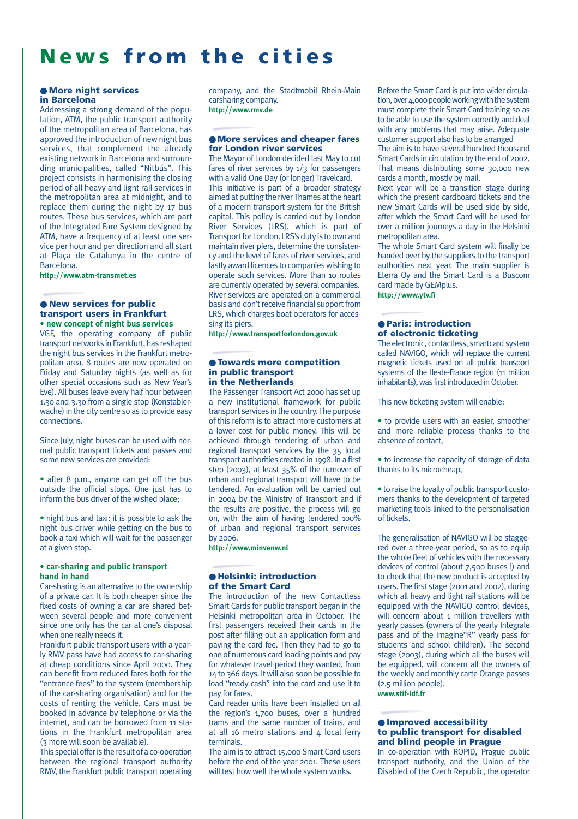## **News from the cities**

## ● **More night services in Barcelona**

Addressing a strong demand of the population, ATM, the public transport authority of the metropolitan area of Barcelona, has approved the introduction of new night bus services, that complement the already existing network in Barcelona and surrounding municipalities, called "Nitbús". This project consists in harmonising the closing period of all heavy and light rail services in the metropolitan area at midnight, and to replace them during the night by 17 bus routes. These bus services, which are part of the Integrated Fare System designed by ATM, have a frequency of at least one service per hour and per direction and all start at Plaça de Catalunya in the centre of Barcelona.

**http://www.atm-transmet.es**

## ● **New services for public transport users in Frankfurt • new concept of night bus services**

VGF, the operating company of public transport networks in Frankfurt, has reshaped the night bus services in the Frankfurt metropolitan area. 8 routes are now operated on Friday and Saturday nights (as well as for other special occasions such as New Year's Eve). All buses leave every half hour between 1.30 and 3.30 from a single stop (Konstablerwache) in the city centre so as to provide easy connections.

Since July, night buses can be used with normal public transport tickets and passes and some new services are provided:

• after 8 p.m., anyone can get off the bus outside the official stops. One just has to inform the bus driver of the wished place;

• night bus and taxi: it is possible to ask the night bus driver while getting on the bus to book a taxi which will wait for the passenger at a given stop.

## **• car-sharing and public transport hand in hand**

Car-sharing is an alternative to the ownership of a private car. It is both cheaper since the fixed costs of owning a car are shared between several people and more convenient since one only has the car at one's disposal when one really needs it.

Frankfurt public transport users with a yearly RMV pass have had access to car-sharing at cheap conditions since April 2000. They can benefit from reduced fares both for the "entrance fees" to the system (membership of the car-sharing organisation) and for the costs of renting the vehicle. Cars must be booked in advance by telephone or via the internet, and can be borrowed from 11 stations in the Frankfurt metropolitan area (3 more will soon be available).

This special offer is the result of a co-operation between the regional transport authority RMV, the Frankfurt public transport operating company, and the Stadtmobil Rhein-Main carsharing company. **http://www.rmv.de**

## ● **More services and cheaper fares for London river services**

The Mayor of London decided last May to cut fares of river services by  $1/3$  for passengers with a valid One Day (or longer) Travelcard. This initiative is part of a broader strategy aimed at putting the river Thames at the heart of a modern transport system for the British capital. This policy is carried out by London River Services (LRS), which is part of Transport for London. LRS's duty is to own and maintain river piers, determine the consistency and the level of fares of river services, and lastly award licences to companies wishing to operate such services. More than 10 routes are currently operated by several companies. River services are operated on a commercial basis and don't receive financial support from LRS, which charges boat operators for accessing its piers.

**http://www.transportforlondon.gov.uk**

## ● **Towards more competition in public transport in the Netherlands**

The Passenger Transport Act 2000 has set up a new institutional framework for public transport services in the country. The purpose of this reform is to attract more customers at a lower cost for public money. This will be achieved through tendering of urban and regional transport services by the 35 local transport authorities created in 1998. In a first step (2003), at least 35% of the turnover of urban and regional transport will have to be tendered. An evaluation will be carried out in 2004 by the Ministry of Transport and if the results are positive, the process will go on, with the aim of having tendered 100% of urban and regional transport services by 2006.

**http://www.minvenw.nl**

## ● **Helsinki: introduction of the Smart Card**

The introduction of the new Contactless Smart Cards for public transport began in the Helsinki metropolitan area in October. The first passengers received their cards in the post after filling out an application form and paying the card fee. Then they had to go to one of numerous card loading points and pay for whatever travel period they wanted, from 14 to 366 days. It will also soon be possible to load "ready cash" into the card and use it to pay for fares.

Card reader units have been installed on all the region's 1,700 buses, over a hundred trams and the same number of trains, and at all 16 metro stations and  $\Delta$  local ferry terminals.

The aim is to attract 15,000 Smart Card users before the end of the year 2001. These users will test how well the whole system works.

Before the Smart Card is put into wider circulation, over 4,000 people working with the system must complete their Smart Card training so as to be able to use the system correctly and deal with any problems that may arise. Adequate customer support also has to be arranged

The aim is to have several hundred thousand Smart Cards in circulation by the end of 2002. That means distributing some 30,000 new cards a month, mostly by mail.

Next year will be a transition stage during which the present cardboard tickets and the new Smart Cards will be used side by side, after which the Smart Card will be used for over a million journeys a day in the Helsinki metropolitan area.

The whole Smart Card system will finally be handed over by the suppliers to the transport authorities next year. The main supplier is Eterra Oy and the Smart Card is a Buscom card made by GEMplus.

**http://www.ytv.fi**

## ● **Paris: introduction of electronic ticketing**

The electronic, contactless, smartcard system called NAVIGO, which will replace the current magnetic tickets used on all public transport systems of the Ile-de-France region (11 million inhabitants), was first introduced in October.

This new ticketing system will enable:

• to provide users with an easier, smoother and more reliable process thanks to the absence of contact,

• to increase the capacity of storage of data thanks to its microcheap,

• to raise the loyalty of public transport customers thanks to the development of targeted marketing tools linked to the personalisation of tickets.

The generalisation of NAVIGO will be staggered over a three-year period, so as to equip the whole fleet of vehicles with the necessary devices of control (about 7,500 buses !) and to check that the new product is accepted by users. The first stage (2001 and 2002), during which all heavy and light rail stations will be equipped with the NAVIGO control devices, will concern about 1 million travellers with yearly passes (owners of the yearly Integrale pass and of the Imagine"R" yearly pass for students and school children). The second stage (2003), during which all the buses will be equipped, will concern all the owners of the weekly and monthly carte Orange passes (2,5 million people). **www.stif-idf.fr**

## ● **Improved accessibility to public transport for disabled and blind people in Prague**

In co-operation with ROPID, Prague public transport authority, and the Union of the Disabled of the Czech Republic, the operator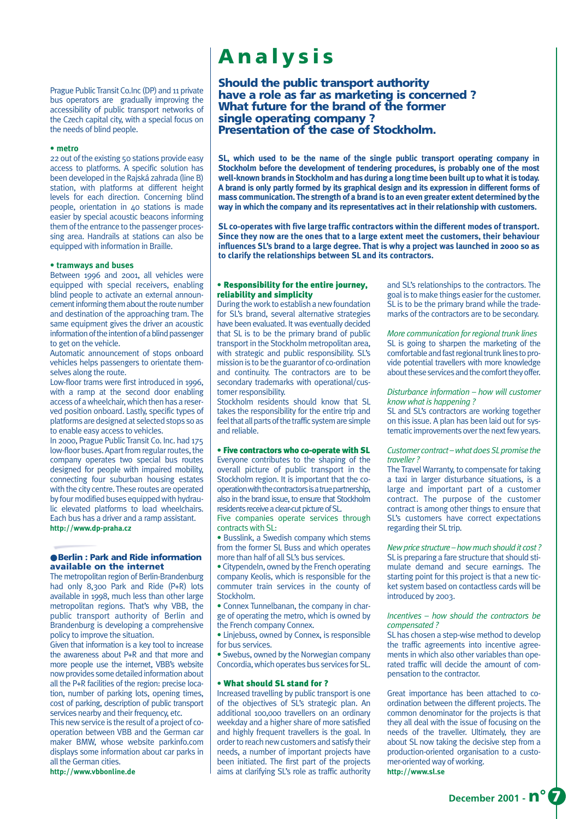Prague Public Transit Co.Inc (DP) and 11 private bus operators are gradually improving the accessibility of public transport networks of the Czech capital city, with a special focus on the needs of blind people.

#### **• metro**

22 out of the existing 50 stations provide easy access to platforms. A specific solution has been developed in the Rajská zahrada (line B) station, with platforms at different height levels for each direction. Concerning blind people, orientation in 40 stations is made easier by special acoustic beacons informing them of the entrance to the passenger processing area. Handrails at stations can also be equipped with information in Braille.

## **• tramways and buses**

Between 1996 and 2001, all vehicles were equipped with special receivers, enabling blind people to activate an external announcement informing them about the route number and destination of the approaching tram. The same equipment gives the driver an acoustic information of the intention of a blind passenger to get on the vehicle.

Automatic announcement of stops onboard vehicles helps passengers to orientate themselves along the route.

Low-floor trams were first introduced in 1996, with a ramp at the second door enabling access of a wheelchair, which then has a reserved position onboard. Lastly, specific types of platforms are designed at selected stops so as to enable easy access to vehicles.

In 2000, Prague Public Transit Co. Inc. had 175 low-floor buses. Apart from regular routes, the company operates two special bus routes designed for people with impaired mobility, connecting four suburban housing estates with the city centre. These routes are operated by four modified buses equipped with hydraulic elevated platforms to load wheelchairs. Each bus has a driver and a ramp assistant. **http://www.dp-praha.cz**

## ● **Berlin : Park and Ride information available on the internet**

The metropolitan region of Berlin-Brandenburg had only 8,300 Park and Ride (P+R) lots available in 1998, much less than other large metropolitan regions. That's why VBB, the public transport authority of Berlin and Brandenburg is developing a comprehensive policy to improve the situation.

Given that information is a key tool to increase the awareness about P+R and that more and more people use the internet, VBB's website now provides some detailed information about all the P+R facilities of the region: precise location, number of parking lots, opening times, cost of parking, description of public transport services nearby and their frequency, etc.

This new service is the result of a project of cooperation between VBB and the German car maker BMW, whose website parkinfo.com displays some information about car parks in all the German cities.

**http://www.vbbonline.de**

## **Analysis**

**Should the public transport authority have a role as far as marketing is concerned ? What future for the brand of the former single operating company ? Presentation of the case of Stockholm.**

**SL, which used to be the name of the single public transport operating company in Stockholm before the development of tendering procedures, is probably one of the most well-known brands in Stockholm and has during a long time been built up to what it is today. A brand is only partly formed by its graphical design and its expression in different forms of mass communication. The strength of a brand is to an even greater extent determined by the way in which the company and its representatives act in their relationship with customers.**

**SL co-operates with five large traffic contractors within the different modes of transport. Since they now are the ones that to a large extent meet the customers, their behaviour influences SL's brand to a large degree. That is why a project was launched in 2000 so as to clarify the relationships between SL and its contractors.**

## • Responsibility for the entire journey, reliability and simplicity

During the work to establish a new foundation for SL's brand, several alternative strategies have been evaluated. It was eventually decided that SL is to be the primary brand of public transport in the Stockholm metropolitan area, with strategic and public responsibility. SL's mission is to be the guarantor of co-ordination and continuity. The contractors are to be secondary trademarks with operational/customer responsibility.

Stockholm residents should know that SL takes the responsibility for the entire trip and feel that all parts of the traffic system are simple and reliable.

#### • Five contractors who co-operate with SL

Everyone contributes to the shaping of the overall picture of public transport in the Stockholm region. It is important that the cooperation with the contractors is a true partnership, also in the brand issue, to ensure that Stockholm residents receive a clear-cut picture of SL.

Five companies operate services through contracts with SL:

• Busslink, a Swedish company which stems from the former SL Buss and which operates more than half of all SL's bus services.

• Citypendeln, owned by the French operating company Keolis, which is responsible for the commuter train services in the county of Stockholm.

• Connex Tunnelbanan, the company in charge of operating the metro, which is owned by the French company Connex.

• Linjebuss, owned by Connex, is responsible for bus services.

• Swebus, owned by the Norwegian company Concordia, which operates bus services for SL.

#### • What should SL stand for ?

Increased travelling by public transport is one of the objectives of SL's strategic plan. An additional 100,000 travellers on an ordinary weekday and a higher share of more satisfied and highly frequent travellers is the goal. In order to reach new customers and satisfy their needs, a number of important projects have been initiated. The first part of the projects aims at clarifying SL's role as traffic authority

and SL's relationships to the contractors. The goal is to make things easier for the customer. SL is to be the primary brand while the trademarks of the contractors are to be secondary.

#### *More communication for regional trunk lines*

SL is going to sharpen the marketing of the comfortable and fast regional trunk lines to provide potential travellers with more knowledge about these services and the comfort they offer.

## *Disturbance information – how will customer know what is happening ?*

SL and SL's contractors are working together on this issue. A plan has been laid out for systematic improvements over the next few years.

## *Customer contract – what does SLpromise the traveller ?*

The Travel Warranty, to compensate for taking a taxi in larger disturbance situations, is a large and important part of a customer contract. The purpose of the customer contract is among other things to ensure that SL's customers have correct expectations regarding their SL trip.

*New price structure – how much should it cost ?* SL is preparing a fare structure that should stimulate demand and secure earnings. The starting point for this project is that a new ticket system based on contactless cards will be introduced by 2003.

## *Incentives – how should the contractors be compensated ?*

SL has chosen a step-wise method to develop the traffic agreements into incentive agreements in which also other variables than operated traffic will decide the amount of compensation to the contractor.

Great importance has been attached to coordination between the different projects. The common denominator for the projects is that they all deal with the issue of focusing on the needs of the traveller. Ultimately, they are about SL now taking the decisive step from a production-oriented organisation to a customer-oriented way of working.

**http://www.sl.se**